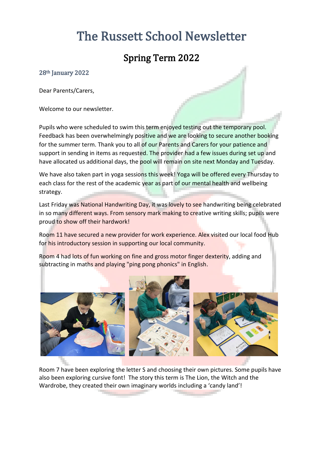# The Russett School Newsletter

## Spring Term 2022

#### 28th January 2022

Dear Parents/Carers,

Welcome to our newsletter.

Pupils who were scheduled to swim this term enjoyed testing out the temporary pool. Feedback has been overwhelmingly positive and we are looking to secure another booking for the summer term. Thank you to all of our Parents and Carers for your patience and support in sending in items as requested. The provider had a few issues during set up and have allocated us additional days, the pool will remain on site next Monday and Tuesday.

We have also taken part in yoga sessions this week! Yoga will be offered every Thursday to each class for the rest of the academic year as part of our mental health and wellbeing strategy.

Last Friday was National Handwriting Day, it was lovely to see handwriting being celebrated in so many different ways. From sensory mark making to creative writing skills; pupils were proud to show off their hardwork!

Room 11 have secured a new provider for work experience. Alex visited our local food Hub for his introductory session in supporting our local community.

Room 4 had lots of fun working on fine and gross motor finger dexterity, adding and subtracting in maths and playing "ping pong phonics" in English.



Room 7 have been exploring the letter S and choosing their own pictures. Some pupils have also been exploring cursive font! The story this term is The Lion, the Witch and the Wardrobe, they created their own imaginary worlds including a 'candy land'!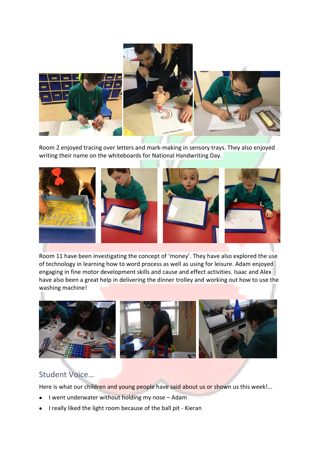

Room 2 enjoyed tracing over letters and mark-making in sensory trays. They also enjoyed writing their name on the whiteboards for National Handwriting Day.



Room 11 have been investigating the concept of 'money'. They have also explored the use of technology in learning how to word process as well as using for leisure. Adam enjoyed engaging in fine motor development skills and cause and effect activities. Isaac and Alex have also been a great help in delivering the dinner trolley and working out how to use the washing machine!



### Student Voice…

Here is what our children and young people have said about us or shown us this week!...

- I went underwater without holding my nose Adam
- I really liked the light room because of the ball pit Kieran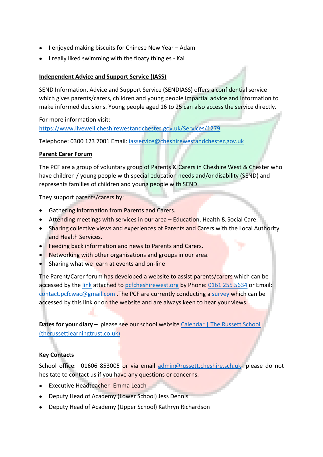- I enjoyed making biscuits for Chinese New Year Adam
- I really liked swimming with the floaty thingies Kai

#### **Independent Advice and Support Service (IASS)**

SEND Information, Advice and Support Service (SENDIASS) offers a confidential service which gives parents/carers, children and young people impartial advice and information to make informed decisions. Young people aged 16 to 25 can also access the service directly.

For more information visit: <https://www.livewell.cheshirewestandchester.gov.uk/Services/1279>

Telephone: 0300 123 7001 Email: [iasservice@cheshirewestandchester.gov.uk](mailto:iasservice@cheshirewestandchester.gov.uk)

#### **Parent Carer Forum**

The PCF are a group of voluntary group of Parents & Carers in Cheshire West & Chester who have children / young people with special education needs and/or disability (SEND) and represents families of children and young people with SEND.

They support parents/carers by:

- Gathering information from Parents and Carers.
- Attending meetings with services in our area Education, Health & Social Care.
- Sharing collective views and experiences of Parents and Carers with the Local Authority and Health Services.
- Feeding back information and news to Parents and Carers.
- Networking with other organisations and groups in our area.
- Sharing what we learn at events and on-line

The Parent/Carer forum has developed a website to assist parents/carers which can be accessed by th[e link](https://www.pcfcheshirewest.org/who-we-are) attached to pcfcheshirewest.org by Phone[: 0161 255 5634](tel:0161%20255%205634) or Email: [contact.pcfcwac@gmail.com](mailto:contact.pcfcwac@gmail.com) .The PCF are currently conducting a [survey](https://www.pcfcheshirewest.org/survey) which can be accessed by this link or on the website and are always keen to hear your views.

**Dates for your diary –** please see our school website Calendar | The Russett School [\(therussettlearningtrust.co.uk\)](https://www.therussettlearningtrust.co.uk/russett-school/parents/calendar/)

#### **Key Contacts**

School office: 01606 853005 or via email [admin@russett.cheshire.sch.uk-](mailto:admin@russett.cheshire.sch.uk) please do not hesitate to contact us if you have any questions or concerns.

- Executive Headteacher- Emma Leach
- Deputy Head of Academy (Lower School) Jess Dennis
- Deputy Head of Academy (Upper School) Kathryn Richardson